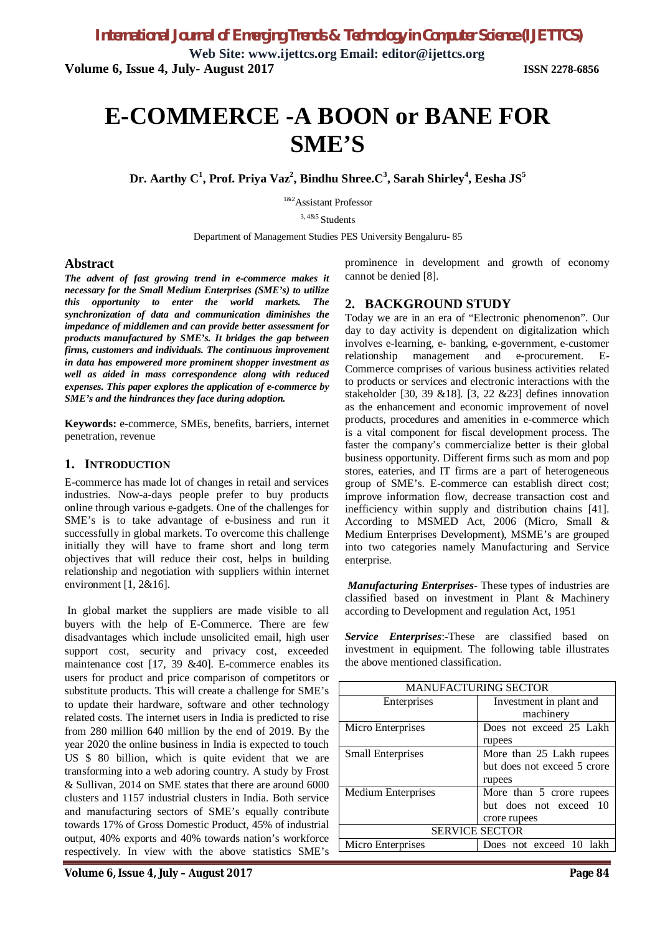**Web Site: www.ijettcs.org Email: editor@ijettcs.org Volume 6, Issue 4, July- August 2017 ISSN 2278-6856**

# **E-COMMERCE -A BOON or BANE FOR SME'S**

**Dr. Aarthy C<sup>1</sup> , Prof. Priya Vaz<sup>2</sup> , Bindhu Shree.C<sup>3</sup> , Sarah Shirley<sup>4</sup> , Eesha JS<sup>5</sup>**

1&2Assistant Professor

3, 4&5 Students

Department of Management Studies PES University Bengaluru- 85

#### **Abstract**

*The advent of fast growing trend in e-commerce makes it necessary for the Small Medium Enterprises (SME's) to utilize this opportunity to enter the world markets. The synchronization of data and communication diminishes the impedance of middlemen and can provide better assessment for products manufactured by SME's. It bridges the gap between firms, customers and individuals. The continuous improvement in data has empowered more prominent shopper investment as well as aided in mass correspondence along with reduced expenses. This paper explores the application of e-commerce by SME's and the hindrances they face during adoption.*

**Keywords:** e-commerce, SMEs, benefits, barriers, internet penetration, revenue

#### **1. INTRODUCTION**

E-commerce has made lot of changes in retail and services industries. Now-a-days people prefer to buy products online through various e-gadgets. One of the challenges for SME's is to take advantage of e-business and run it successfully in global markets. To overcome this challenge initially they will have to frame short and long term objectives that will reduce their cost, helps in building relationship and negotiation with suppliers within internet environment  $[1, 2&16]$ .

In global market the suppliers are made visible to all buyers with the help of E-Commerce. There are few disadvantages which include unsolicited email, high user support cost, security and privacy cost, exceeded maintenance cost [17, 39 &40]. E-commerce enables its users for product and price comparison of competitors or substitute products. This will create a challenge for SME's to update their hardware, software and other technology related costs. The internet users in India is predicted to rise from 280 million 640 million by the end of 2019. By the year 2020 the online business in India is expected to touch US \$ 80 billion, which is quite evident that we are transforming into a web adoring country. A study by Frost & Sullivan, 2014 on SME states that there are around 6000 clusters and 1157 industrial clusters in India. Both service and manufacturing sectors of SME's equally contribute towards 17% of Gross Domestic Product, 45% of industrial output, 40% exports and 40% towards nation's workforce respectively. In view with the above statistics SME's prominence in development and growth of economy cannot be denied [8].

#### **2. BACKGROUND STUDY**

Today we are in an era of "Electronic phenomenon". Our day to day activity is dependent on digitalization which involves e-learning, e- banking, e-government, e-customer relationship management and e-procurement. E-Commerce comprises of various business activities related to products or services and electronic interactions with the stakeholder [30, 39 &18]. [3, 22 &23] defines innovation as the enhancement and economic improvement of novel products, procedures and amenities in e-commerce which is a vital component for fiscal development process. The faster the company's commercialize better is their global business opportunity. Different firms such as mom and pop stores, eateries, and IT firms are a part of heterogeneous group of SME's. E-commerce can establish direct cost; improve information flow, decrease transaction cost and inefficiency within supply and distribution chains [41]. According to MSMED Act, 2006 (Micro, Small & Medium Enterprises Development), MSME's are grouped into two categories namely Manufacturing and Service enterprise.

*Manufacturing Enterprises*- These types of industries are classified based on investment in Plant & Machinery according to Development and regulation Act, 1951

*Service Enterprises*:-These are classified based on investment in equipment. The following table illustrates the above mentioned classification.

| <b>MANUFACTURING SECTOR</b> |                             |
|-----------------------------|-----------------------------|
| Enterprises                 | Investment in plant and     |
|                             | machinery                   |
| Micro Enterprises           | Does not exceed 25 Lakh     |
|                             | rupees                      |
| <b>Small Enterprises</b>    | More than 25 Lakh rupees    |
|                             | but does not exceed 5 crore |
|                             | rupees                      |
| Medium Enterprises          | More than 5 crore rupees    |
|                             | but does not exceed 10      |
|                             | crore rupees                |
| <b>SERVICE SECTOR</b>       |                             |
| Micro Enterprises           | Does not exceed 10 lakh     |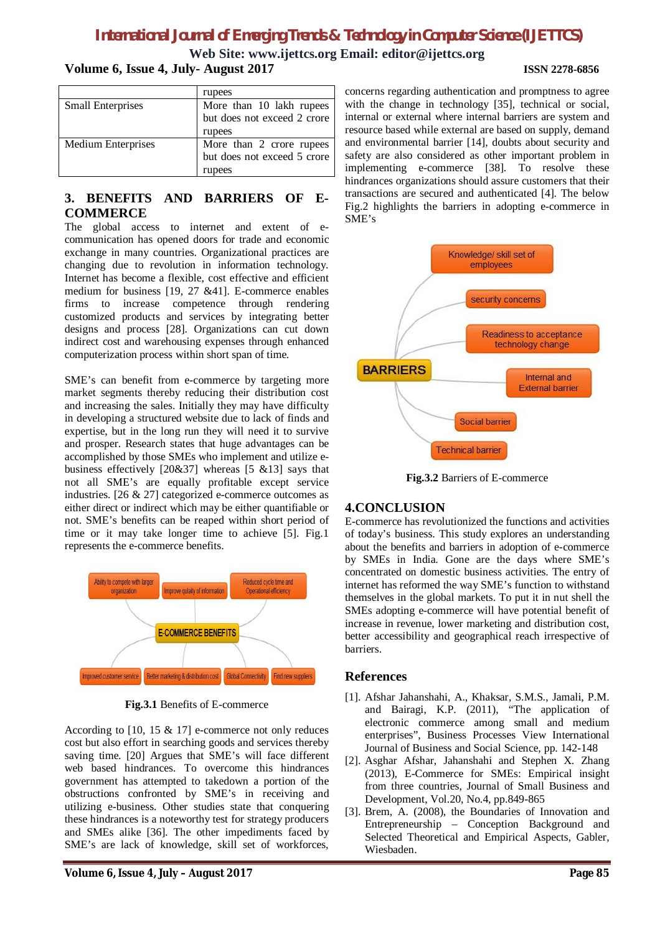# *International Journal of Emerging Trends & Technology in Computer Science (IJETTCS)*

**Web Site: www.ijettcs.org Email: editor@ijettcs.org Volume 6, Issue 4, July- August 2017 ISSN 2278-6856**

|                           | rupees                      |
|---------------------------|-----------------------------|
| <b>Small Enterprises</b>  | More than 10 lakh rupees    |
|                           | but does not exceed 2 crore |
|                           | rupees                      |
| <b>Medium Enterprises</b> | More than 2 crore rupees    |
|                           | but does not exceed 5 crore |
|                           | rupees                      |

### **3. BENEFITS AND BARRIERS OF E-COMMERCE**

The global access to internet and extent of ecommunication has opened doors for trade and economic exchange in many countries. Organizational practices are changing due to revolution in information technology. Internet has become a flexible, cost effective and efficient medium for business [19, 27 &41]. E-commerce enables firms to increase competence through rendering customized products and services by integrating better designs and process [28]. Organizations can cut down indirect cost and warehousing expenses through enhanced computerization process within short span of time.

SME's can benefit from e-commerce by targeting more market segments thereby reducing their distribution cost and increasing the sales. Initially they may have difficulty in developing a structured website due to lack of finds and expertise, but in the long run they will need it to survive and prosper. Research states that huge advantages can be accomplished by those SMEs who implement and utilize ebusiness effectively  $[20&37]$  whereas  $[5 & 213]$  says that not all SME's are equally profitable except service industries. [26 & 27] categorized e-commerce outcomes as either direct or indirect which may be either quantifiable or not. SME's benefits can be reaped within short period of time or it may take longer time to achieve [5]. Fig.1 represents the e-commerce benefits.



**Fig.3.1** Benefits of E-commerce

According to [10, 15 & 17] e-commerce not only reduces cost but also effort in searching goods and services thereby saving time. [20] Argues that SME's will face different web based hindrances. To overcome this hindrances government has attempted to takedown a portion of the obstructions confronted by SME's in receiving and utilizing e-business. Other studies state that conquering these hindrances is a noteworthy test for strategy producers and SMEs alike [36]. The other impediments faced by SME's are lack of knowledge, skill set of workforces,

concerns regarding authentication and promptness to agree with the change in technology [35], technical or social, internal or external where internal barriers are system and resource based while external are based on supply, demand and environmental barrier [14], doubts about security and safety are also considered as other important problem in implementing e-commerce [38]. To resolve these hindrances organizations should assure customers that their transactions are secured and authenticated [4]. The below Fig.2 highlights the barriers in adopting e-commerce in SME's



**Fig.3.2** Barriers of E-commerce

#### **4.CONCLUSION**

E-commerce has revolutionized the functions and activities of today's business. This study explores an understanding about the benefits and barriers in adoption of e-commerce by SMEs in India. Gone are the days where SME's concentrated on domestic business activities. The entry of internet has reformed the way SME's function to withstand themselves in the global markets. To put it in nut shell the SMEs adopting e-commerce will have potential benefit of increase in revenue, lower marketing and distribution cost, better accessibility and geographical reach irrespective of barriers.

#### **References**

- [1]. Afshar Jahanshahi, A., Khaksar, S.M.S., Jamali, P.M. and Bairagi, K.P. (2011), "The application of electronic commerce among small and medium enterprises", Business Processes View International Journal of Business and Social Science, pp. 142-148
- [2]. Asghar Afshar, Jahanshahi and Stephen X. Zhang (2013), E-Commerce for SMEs: Empirical insight from three countries, Journal of Small Business and Development, Vol.20, No.4, pp.849-865
- [3]. Brem, A. (2008), the Boundaries of Innovation and Entrepreneurship – Conception Background and Selected Theoretical and Empirical Aspects, Gabler, Wiesbaden.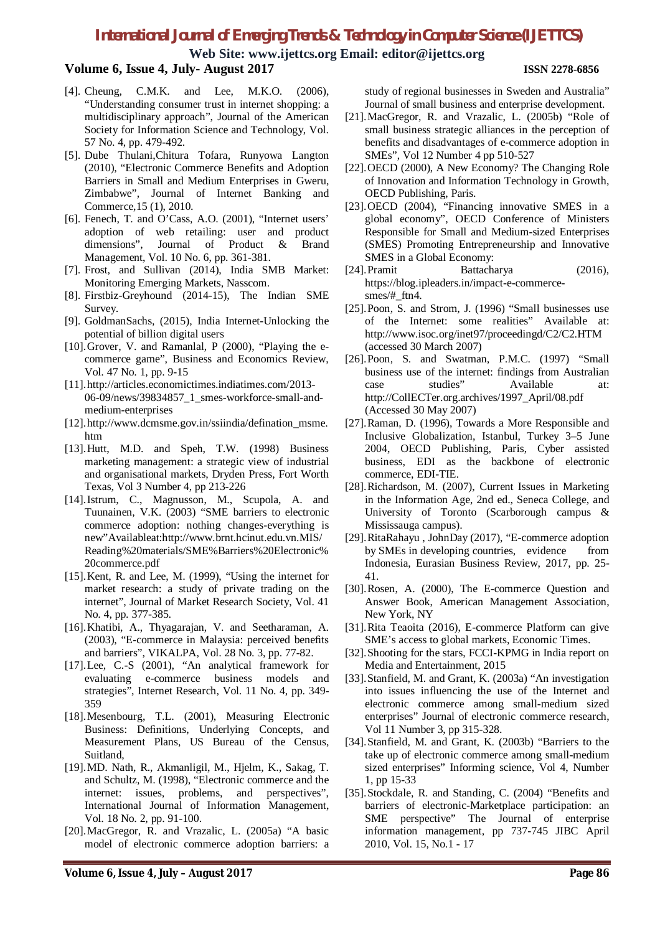## *International Journal of Emerging Trends & Technology in Computer Science (IJETTCS)*

**Web Site: www.ijettcs.org Email: editor@ijettcs.org**

#### **Volume 6, Issue 4, July- August 2017 ISSN 2278-6856**

- [4]. Cheung, C.M.K. and Lee, M.K.O. (2006), "Understanding consumer trust in internet shopping: a multidisciplinary approach", Journal of the American Society for Information Science and Technology, Vol. 57 No. 4, pp. 479-492.
- [5]. Dube Thulani,Chitura Tofara, Runyowa Langton (2010), "Electronic Commerce Benefits and Adoption Barriers in Small and Medium Enterprises in Gweru, Zimbabwe", Journal of Internet Banking and Commerce,15 (1), 2010.
- [6]. Fenech, T. and O'Cass, A.O. (2001), "Internet users' adoption of web retailing: user and product dimensions", Journal of Product & Brand Management, Vol. 10 No. 6, pp. 361-381.
- [7]. Frost, and Sullivan (2014), India SMB Market: Monitoring Emerging Markets, Nasscom.
- [8]. Firstbiz-Greyhound (2014-15), The Indian SME Survey.
- [9]. GoldmanSachs, (2015), India Internet-Unlocking the potential of billion digital users
- [10].Grover, V. and Ramanlal, P (2000), "Playing the ecommerce game", Business and Economics Review, Vol. 47 No. 1, pp. 9-15
- [11].http://articles.economictimes.indiatimes.com/2013- 06-09/news/39834857\_1\_smes-workforce-small-andmedium-enterprises
- [12].http://www.dcmsme.gov.in/ssiindia/defination\_msme. htm
- [13].Hutt, M.D. and Speh, T.W. (1998) Business marketing management: a strategic view of industrial and organisational markets, Dryden Press, Fort Worth Texas, Vol 3 Number 4, pp 213-226
- [14].Istrum, C., Magnusson, M., Scupola, A. and Tuunainen, V.K. (2003) "SME barriers to electronic commerce adoption: nothing changes-everything is new"Availableat:http://www.brnt.hcinut.edu.vn.MIS/ Reading%20materials/SME%Barriers%20Electronic% 20commerce.pdf
- [15].Kent, R. and Lee, M. (1999), "Using the internet for market research: a study of private trading on the internet", Journal of Market Research Society, Vol. 41 No. 4, pp. 377-385.
- [16].Khatibi, A., Thyagarajan, V. and Seetharaman, A. (2003), "E-commerce in Malaysia: perceived benefits and barriers", VIKALPA, Vol. 28 No. 3, pp. 77-82.
- [17].Lee, C.-S (2001), "An analytical framework for evaluating e-commerce business models and strategies", Internet Research, Vol. 11 No. 4, pp. 349- 359
- [18].Mesenbourg, T.L. (2001), Measuring Electronic Business: Definitions, Underlying Concepts, and Measurement Plans, US Bureau of the Census, Suitland,
- [19].MD. Nath, R., Akmanligil, M., Hjelm, K., Sakag, T. and Schultz, M. (1998), "Electronic commerce and the internet: issues, problems, and perspectives", International Journal of Information Management, Vol. 18 No. 2, pp. 91-100.
- [20].MacGregor, R. and Vrazalic, L. (2005a) "A basic model of electronic commerce adoption barriers: a

study of regional businesses in Sweden and Australia" Journal of small business and enterprise development.

- [21].MacGregor, R. and Vrazalic, L. (2005b) "Role of small business strategic alliances in the perception of benefits and disadvantages of e-commerce adoption in SMEs", Vol 12 Number 4 pp 510-527
- [22].OECD (2000), A New Economy? The Changing Role of Innovation and Information Technology in Growth, OECD Publishing, Paris.
- [23].OECD (2004), "Financing innovative SMES in a global economy", OECD Conference of Ministers Responsible for Small and Medium-sized Enterprises (SMES) Promoting Entrepreneurship and Innovative SMES in a Global Economy:
- [24].Pramit Battacharya (2016), https://blog.ipleaders.in/impact-e-commercesmes/#\_ftn4.
- [25].Poon, S. and Strom, J. (1996) "Small businesses use of the Internet: some realities" Available at: http://www.isoc.org/inet97/proceedingd/C2/C2.HTM (accessed 30 March 2007)
- [26].Poon, S. and Swatman, P.M.C. (1997) "Small business use of the internet: findings from Australian case studies" Available at: http://CollECTer.org.archives/1997\_April/08.pdf (Accessed 30 May 2007)
- [27].Raman, D. (1996), Towards a More Responsible and Inclusive Globalization, Istanbul, Turkey 3–5 June 2004, OECD Publishing, Paris, Cyber assisted business, EDI as the backbone of electronic commerce, EDI-TIE.
- [28].Richardson, M. (2007), Current Issues in Marketing in the Information Age, 2nd ed., Seneca College, and University of Toronto (Scarborough campus & Mississauga campus).
- [29].RitaRahayu , JohnDay (2017), "E-commerce adoption by SMEs in developing countries, evidence from Indonesia, Eurasian Business Review, 2017, pp. 25- 41.
- [30].Rosen, A. (2000), The E-commerce Question and Answer Book, American Management Association, New York, NY
- [31].Rita Teaoita (2016), E-commerce Platform can give SME's access to global markets, Economic Times.
- [32].Shooting for the stars, FCCI-KPMG in India report on Media and Entertainment, 2015
- [33].Stanfield, M. and Grant, K. (2003a) "An investigation into issues influencing the use of the Internet and electronic commerce among small-medium sized enterprises" Journal of electronic commerce research, Vol 11 Number 3, pp 315-328.
- [34].Stanfield, M. and Grant, K. (2003b) "Barriers to the take up of electronic commerce among small-medium sized enterprises" Informing science, Vol 4, Number 1, pp 15-33
- [35].Stockdale, R. and Standing, C. (2004) "Benefits and barriers of electronic-Marketplace participation: an SME perspective" The Journal of enterprise information management, pp 737-745 JIBC April 2010, Vol. 15, No.1 - 17